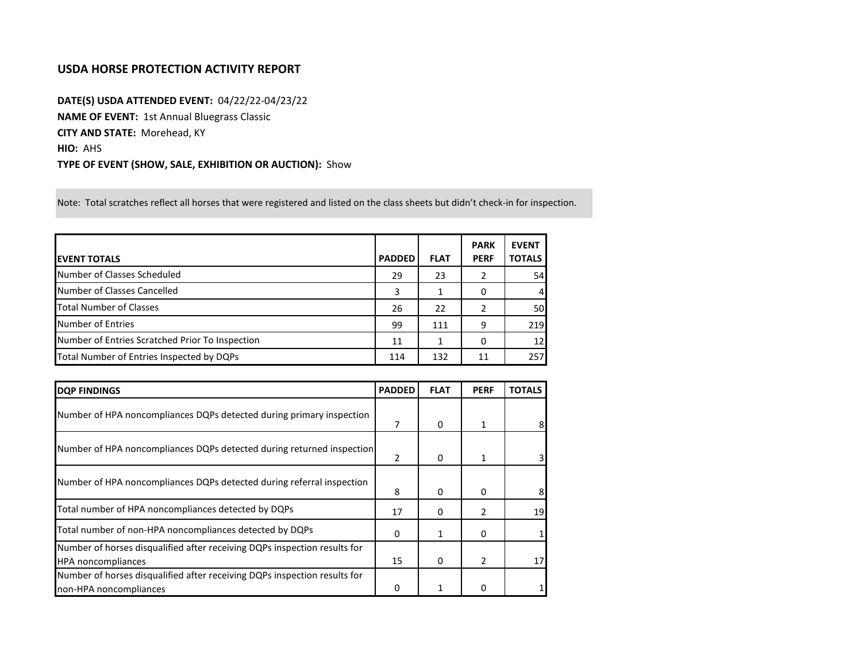## **USDA HORSE PROTECTION ACTIVITY REPORT**

**DATE(S) USDA ATTENDED EVENT:** 04/22/22-04/23/22 **NAME OF EVENT:** 1st Annual Bluegrass Classic **CITY AND STATE:** Morehead, KY **HIO:** AHS **TYPE OF EVENT (SHOW, SALE, EXHIBITION OR AUCTION):** Show

Note: Total scratches reflect all horses that were registered and listed on the class sheets but didn't check-in for inspection.

| <b>IEVENT TOTALS</b>                            | <b>PADDED</b> | <b>FLAT</b> | <b>PARK</b><br><b>PERF</b> | <b>EVENT</b><br><b>TOTALS</b> |
|-------------------------------------------------|---------------|-------------|----------------------------|-------------------------------|
| Number of Classes Scheduled                     | 29            | 23          | 2                          | 54                            |
| Number of Classes Cancelled                     | 3             |             | 0                          | 41                            |
| <b>Total Number of Classes</b>                  | 26            | 22          | 2                          | 50                            |
| Number of Entries                               | 99            | 111         | 9                          | 219                           |
| Number of Entries Scratched Prior To Inspection | 11            |             | 0                          | 12                            |
| Total Number of Entries Inspected by DQPs       | 114           | 132         | 11                         | 257                           |

| <b>DQP FINDINGS</b>                                                                                    | <b>PADDED</b> | <b>FLAT</b> | <b>PERF</b>   | <b>TOTALS</b> |
|--------------------------------------------------------------------------------------------------------|---------------|-------------|---------------|---------------|
| Number of HPA noncompliances DQPs detected during primary inspection                                   | 7             | 0           |               |               |
| Number of HPA noncompliances DQPs detected during returned inspection                                  | 2             | 0           |               |               |
| Number of HPA noncompliances DQPs detected during referral inspection                                  | 8             | 0           | $\Omega$      |               |
| Total number of HPA noncompliances detected by DQPs                                                    | 17            | 0           |               | 19            |
| Total number of non-HPA noncompliances detected by DQPs                                                | 0             |             | 0             |               |
| Number of horses disqualified after receiving DQPs inspection results for<br><b>HPA</b> noncompliances | 15            | 0           | $\mathcal{P}$ | 17            |
| Number of horses disqualified after receiving DQPs inspection results for<br>non-HPA noncompliances    |               |             |               |               |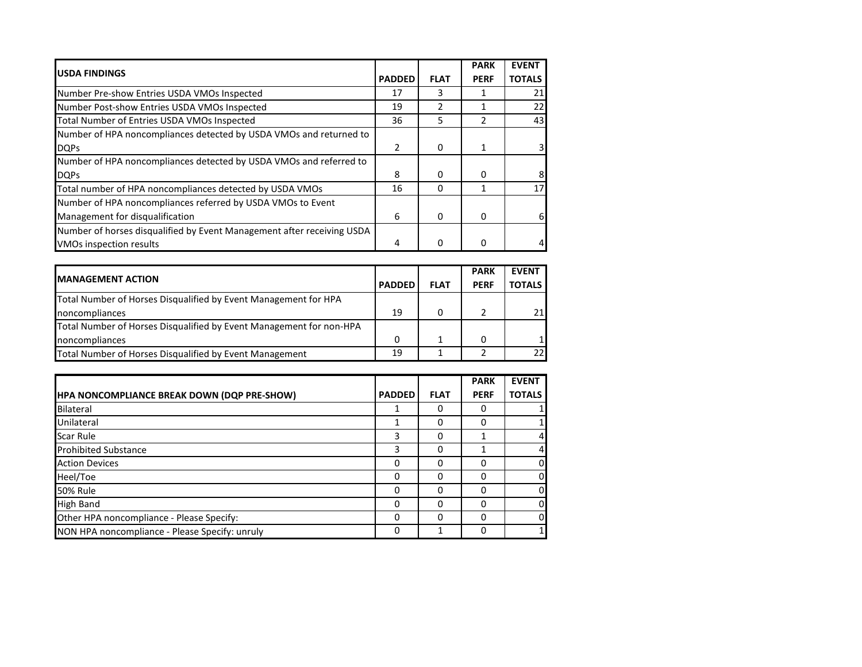|                                                                        |                |             | <b>PARK</b> | <b>EVENT</b>  |
|------------------------------------------------------------------------|----------------|-------------|-------------|---------------|
| <b>USDA FINDINGS</b>                                                   | <b>PADDED</b>  | <b>FLAT</b> | <b>PERF</b> | <b>TOTALS</b> |
| Number Pre-show Entries USDA VMOs Inspected                            | 17             | ર           |             | 21            |
| Number Post-show Entries USDA VMOs Inspected                           | 19             |             |             | 22            |
| Total Number of Entries USDA VMOs Inspected                            | 36             | 5           |             | 43            |
| Number of HPA noncompliances detected by USDA VMOs and returned to     |                |             |             |               |
| <b>DQPs</b>                                                            | $\overline{2}$ | 0           |             | 3             |
| Number of HPA noncompliances detected by USDA VMOs and referred to     |                |             |             |               |
| <b>DOPs</b>                                                            | 8              | 0           | O           | 8             |
| Total number of HPA noncompliances detected by USDA VMOs               | 16             | $\Omega$    |             | 17            |
| Number of HPA noncompliances referred by USDA VMOs to Event            |                |             |             |               |
| Management for disqualification                                        | 6              | 0           | 0           | 6             |
| Number of horses disqualified by Event Management after receiving USDA |                |             |             |               |
| VMOs inspection results                                                | 4              | 0           |             |               |

|                                                                     |               |             | <b>PARK</b> | <b>EVENT</b>  |
|---------------------------------------------------------------------|---------------|-------------|-------------|---------------|
| <b>IMANAGEMENT ACTION</b>                                           | <b>PADDED</b> | <b>FLAT</b> | <b>PERF</b> | <b>TOTALS</b> |
| Total Number of Horses Disqualified by Event Management for HPA     |               |             |             |               |
| noncompliances                                                      | 19            | 0           |             |               |
| Total Number of Horses Disqualified by Event Management for non-HPA |               |             |             |               |
| noncompliances                                                      | $\Omega$      |             |             |               |
| Total Number of Horses Disqualified by Event Management             | 19            |             |             |               |

|                                                    |               |             | <b>PARK</b> | <b>EVENT</b>   |
|----------------------------------------------------|---------------|-------------|-------------|----------------|
| <b>HPA NONCOMPLIANCE BREAK DOWN (DQP PRE-SHOW)</b> | <b>PADDED</b> | <b>FLAT</b> | <b>PERF</b> | <b>TOTALS</b>  |
| Bilateral                                          |               | 0           | Ω           |                |
| Unilateral                                         |               | 0           | O           |                |
| <b>Scar Rule</b>                                   | 3             | 0           |             | $\overline{4}$ |
| <b>Prohibited Substance</b>                        | 3             | O           |             | $\overline{4}$ |
| <b>Action Devices</b>                              | $\Omega$      | $\Omega$    | ი           | $\mathbf{0}$   |
| Heel/Toe                                           | $\Omega$      | $\Omega$    | ი           | $\mathbf{0}$   |
| <b>50% Rule</b>                                    | 0             | 0           | ი           | $\mathbf{0}$   |
| <b>High Band</b>                                   | 0             | $\Omega$    | ი           | $\mathbf{0}$   |
| Other HPA noncompliance - Please Specify:          | 0             | $\Omega$    | ი           | $\mathbf{0}$   |
| NON HPA noncompliance - Please Specify: unruly     | 0             | 1           | ი           | 1 <sup>1</sup> |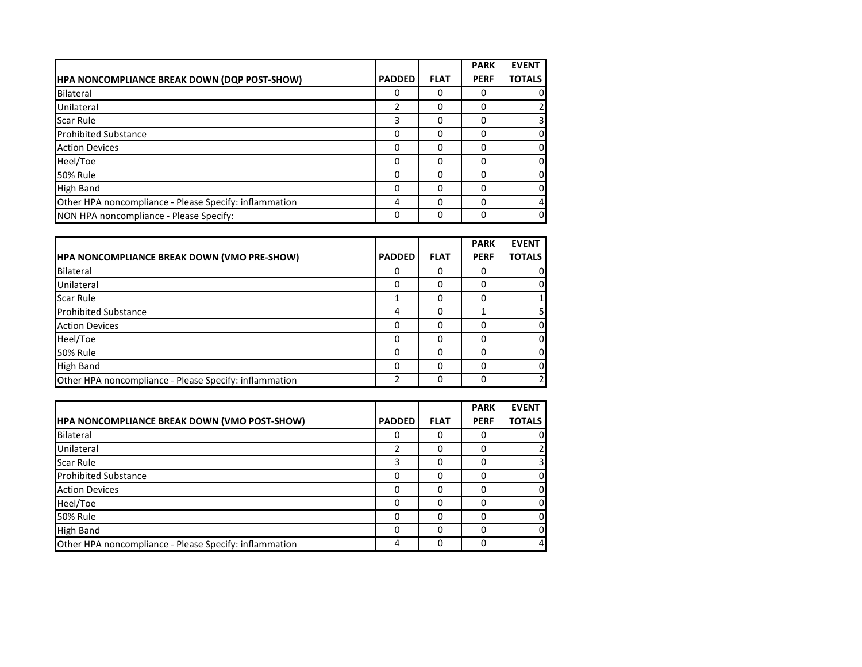|                                                        |               |             | <b>PARK</b> | <b>EVENT</b>  |
|--------------------------------------------------------|---------------|-------------|-------------|---------------|
| HPA NONCOMPLIANCE BREAK DOWN (DQP POST-SHOW)           | <b>PADDED</b> | <b>FLAT</b> | <b>PERF</b> | <b>TOTALS</b> |
| Bilateral                                              | 0             | 0           | Ω           | 0             |
| Unilateral                                             | $\mathcal{P}$ | 0           | ი           |               |
| <b>Scar Rule</b>                                       | 3             | 0           | 0           | 3             |
| <b>Prohibited Substance</b>                            | 0             | O           |             | 0             |
| <b>Action Devices</b>                                  | 0             | O           |             | 0             |
| Heel/Toe                                               | 0             | 0           | ი           | 0             |
| <b>50% Rule</b>                                        | 0             | 0           | 0           | 0             |
| <b>High Band</b>                                       | 0             | 0           | ი           | 0             |
| Other HPA noncompliance - Please Specify: inflammation | 4             | 0           |             | 4             |
| NON HPA noncompliance - Please Specify:                | 0             | 0           | ი           | 0             |

|                                                        |               |             | <b>PARK</b> | <b>EVENT</b>  |
|--------------------------------------------------------|---------------|-------------|-------------|---------------|
| <b>HPA NONCOMPLIANCE BREAK DOWN (VMO PRE-SHOW)</b>     | <b>PADDED</b> | <b>FLAT</b> | <b>PERF</b> | <b>TOTALS</b> |
| Bilateral                                              | 0             | 0           |             | 0             |
| <b>Unilateral</b>                                      | 0             | 0           |             | $\Omega$      |
| <b>Scar Rule</b>                                       |               | O           |             |               |
| <b>Prohibited Substance</b>                            | 4             | 0           |             | 5             |
| <b>Action Devices</b>                                  | 0             | 0           |             | $\mathbf{O}$  |
| Heel/Toe                                               | 0             | O           |             | 0             |
| 50% Rule                                               | 0             | O           |             | $\mathbf{O}$  |
| <b>High Band</b>                                       | 0             | 0           |             | 0             |
| Other HPA noncompliance - Please Specify: inflammation | 2             | 0           |             | 2             |

|                                                        |               |             | <b>PARK</b> | <b>EVENT</b>   |
|--------------------------------------------------------|---------------|-------------|-------------|----------------|
| <b>HPA NONCOMPLIANCE BREAK DOWN (VMO POST-SHOW)</b>    | <b>PADDED</b> | <b>FLAT</b> | <b>PERF</b> | <b>TOTALS</b>  |
| <b>Bilateral</b>                                       |               |             |             | 0              |
| Unilateral                                             |               | O           | O           | $\overline{2}$ |
| Scar Rule                                              |               |             |             | 3              |
| <b>Prohibited Substance</b>                            |               |             |             | 0              |
| <b>Action Devices</b>                                  | O             |             | ŋ           | $\Omega$       |
| Heel/Toe                                               | O             | O           |             | $\Omega$       |
| <b>50% Rule</b>                                        | O             |             | ŋ           | 0              |
| <b>High Band</b>                                       | O             | O           | ŋ           | 0              |
| Other HPA noncompliance - Please Specify: inflammation | Δ             | 0           |             | 4              |